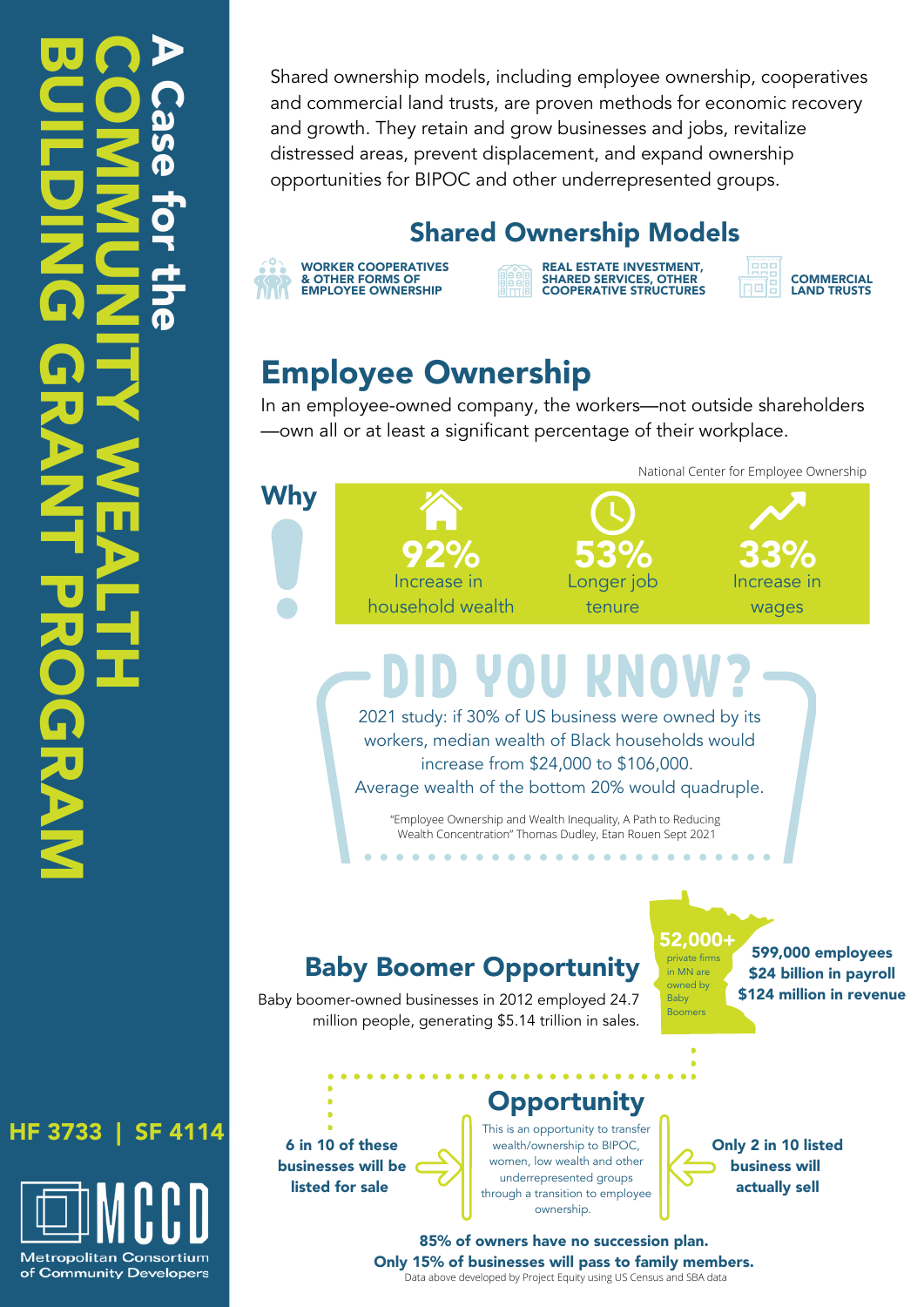#### $\Omega$ O S **MN Zd**  $\blacksquare$ Z <u>In Britannia</u>  $\overline{\blacktriangle}$ W E A L  $\mathord{\dashrightarrow}$ H  $\overline{\mathbf{U}}$ **U** <u>In Britannia</u> L D <u>In Britannia</u> Z G)  $\mathbf{\Omega}$  . **R** A Z:  $\mathord{\dashrightarrow}$  $\overline{\mathbf{U}}$ **R** O G **R** A Z. A  $\Omega$ a **Signal**  $\mathbf \Phi$ Th o r t **h D**

HF 3733 | SF 4114

**Metropolitan Consortium** of Community Developers Shared ownership models, including employee ownership, cooperatives and commercial land trusts, are proven methods for economic recovery and growth. They retain and grow businesses and jobs, revitalize distressed areas, prevent displacement, and expand ownership opportunities for BIPOC and other underrepresented groups.

#### Shared Ownership Models

| - 0     | <b>WORKER COOPERATIVES</b> |
|---------|----------------------------|
| .       | & OTHER FORMS OF           |
| ATANA N | <b>EMPLOYEE OWNERSHIP</b>  |

REAL ESTATE INVESTMENT, SHARED SERVICES, OTHER COOPERATIVE STRUCTURES

**COMMERCIAL** 口服 LAND TRUSTS

# Employee Ownership

In an employee-owned company, the workers—not outside shareholders —own all or at least a significant percentage of their workplace.



# OU RN

2021 study: if 30% of US business were owned by its workers, median wealth of Black households would increase from \$24,000 to \$106,000. Average wealth of the bottom 20% would quadruple.

"Employee Ownership and Wealth Inequality, A Path to Reducing Wealth Concentration" Thomas Dudley, Etan Rouen Sept 2021

. . . . . . . . . . . . . . . . .

### Baby Boomer Opportunity

52,000+ private firm in MN are owned by Baby Boomers 599,000 employees \$24 billion in payroll \$124 million in revenue

Baby boomer-owned businesses in 2012 employed 24.7 million people, generating \$5.14 trillion in sales.

6 in 10 of these businesses will be listed for sale

## **Opportunity**

This is an opportunity to transfer wealth/ownership to BIPOC, women, low wealth and other underrepresented groups through a transition to employee ownership.

Only 2 in 10 listed business will actually sell

85% of owners have no succession plan. Only 15% of businesses will pass to family members. Data above developed by Project Equity using US Census and SBA data